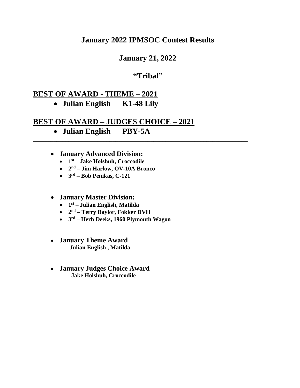# **January 2022 IPMSOC Contest Results**

# **January 21, 2022**

### **"Tribal"**

**\_\_\_\_\_\_\_\_\_\_\_\_\_\_\_\_\_\_\_\_\_\_\_\_\_\_\_\_\_\_\_\_\_\_\_\_\_\_\_\_\_\_\_\_\_\_\_\_\_\_\_\_\_\_\_\_\_\_\_\_\_\_\_\_\_\_\_\_\_\_\_\_\_**

# **BEST OF AWARD - THEME – 2021**

# • **Julian English K1-48 Lily**

## **BEST OF AWARD – JUDGES CHOICE – 2021**

- **Julian English PBY-5A**
- **January Advanced Division:**
	- **1 st – Jake Holshuh, Croccodile**
	- **2 nd – Jim Harlow, OV-10A Bronco**
	- **3 rd – Bob Penikas, C-121**

### • **January Master Division:**

- **1 st – Julian English, Matilda**
- **2 nd – Terry Baylor, Fokker DVH**
- **3 rd – Herb Deeks, 1960 Plymouth Wagon**
- **January Theme Award Julian English , Matilda**
- **January Judges Choice Award Jake Holshuh, Croccodile**